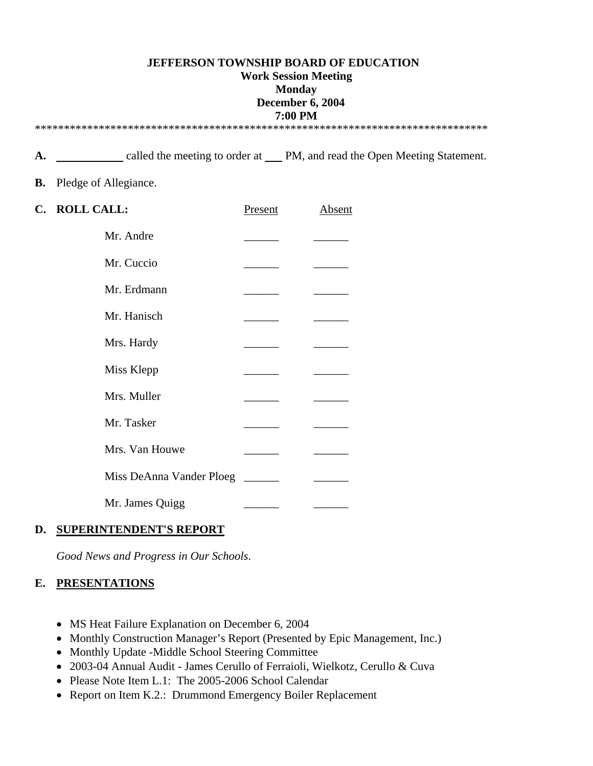### **JEFFERSON TOWNSHIP BOARD OF EDUCATION Work Session Meeting Monday December 6, 2004 7:00 PM**  \*\*\*\*\*\*\*\*\*\*\*\*\*\*\*\*\*\*\*\*\*\*\*\*\*\*\*\*\*\*\*\*\*\*\*\*\*\*\*\*\*\*\*\*\*\*\*\*\*\*\*\*\*\*\*\*\*\*\*\*\*\*\*\*\*\*\*\*\*\*\*\*\*\*\*\*\*\*

A. <u>called the meeting to order at PM, and read the Open Meeting Statement.</u>

### **B.** Pledge of Allegiance.

| C. ROLL CALL:            | Present | <b>Absent</b> |
|--------------------------|---------|---------------|
| Mr. Andre                |         |               |
| Mr. Cuccio               |         |               |
| Mr. Erdmann              |         |               |
| Mr. Hanisch              |         |               |
| Mrs. Hardy               |         |               |
| Miss Klepp               |         |               |
| Mrs. Muller              |         |               |
| Mr. Tasker               |         |               |
| Mrs. Van Houwe           |         |               |
| Miss DeAnna Vander Ploeg |         |               |
| Mr. James Quigg          |         |               |

### **D. SUPERINTENDENT'S REPORT**

*Good News and Progress in Our Schools*.

## **E. PRESENTATIONS**

- MS Heat Failure Explanation on December 6, 2004
- Monthly Construction Manager's Report (Presented by Epic Management, Inc.)
- Monthly Update -Middle School Steering Committee
- 2003-04 Annual Audit James Cerullo of Ferraioli, Wielkotz, Cerullo & Cuva
- Please Note Item L.1: The 2005-2006 School Calendar
- Report on Item K.2.: Drummond Emergency Boiler Replacement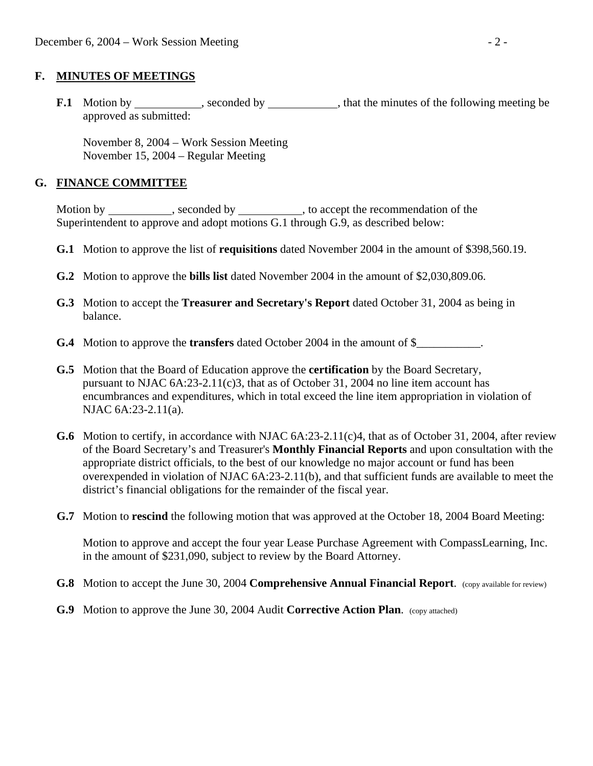### **F. MINUTES OF MEETINGS**

**F.1** Motion by seconded by seconded by that the minutes of the following meeting be approved as submitted:

 November 8, 2004 – Work Session Meeting November 15, 2004 – Regular Meeting

### **G. FINANCE COMMITTEE**

Motion by \_\_\_\_\_\_\_\_\_\_, seconded by \_\_\_\_\_\_\_\_\_, to accept the recommendation of the Superintendent to approve and adopt motions G.1 through G.9, as described below:

- **G.1** Motion to approve the list of **requisitions** dated November 2004 in the amount of \$398,560.19.
- **G.2** Motion to approve the **bills list** dated November 2004 in the amount of \$2,030,809.06.
- **G.3** Motion to accept the **Treasurer and Secretary's Report** dated October 31, 2004 as being in balance.
- **G.4** Motion to approve the **transfers** dated October 2004 in the amount of \$\_\_\_\_\_\_\_\_\_\_\_.
- **G.5** Motion that the Board of Education approve the **certification** by the Board Secretary, pursuant to NJAC 6A:23-2.11(c)3, that as of October 31, 2004 no line item account has encumbrances and expenditures, which in total exceed the line item appropriation in violation of NJAC 6A:23-2.11(a).
- **G.6** Motion to certify, in accordance with NJAC 6A:23-2.11(c)4, that as of October 31, 2004, after review of the Board Secretary's and Treasurer's **Monthly Financial Reports** and upon consultation with the appropriate district officials, to the best of our knowledge no major account or fund has been overexpended in violation of NJAC 6A:23-2.11(b), and that sufficient funds are available to meet the district's financial obligations for the remainder of the fiscal year.
- **G.7** Motion to **rescind** the following motion that was approved at the October 18, 2004 Board Meeting:

 Motion to approve and accept the four year Lease Purchase Agreement with CompassLearning, Inc. in the amount of \$231,090, subject to review by the Board Attorney.

- **G.8** Motion to accept the June 30, 2004 **Comprehensive Annual Financial Report**. (copy available for review)
- **G.9** Motion to approve the June 30, 2004 Audit **Corrective Action Plan.** (copy attached)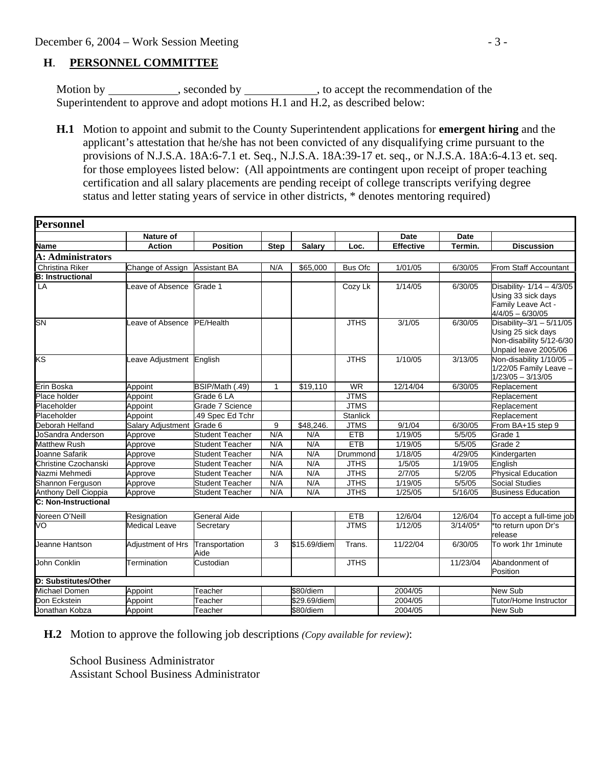## **H**. **PERSONNEL COMMITTEE**

Motion by \_\_\_\_\_\_\_\_\_\_\_, seconded by \_\_\_\_\_\_\_\_\_\_\_, to accept the recommendation of the Superintendent to approve and adopt motions H.1 and H.2, as described below:

 **H.1** Motion to appoint and submit to the County Superintendent applications for **emergent hiring** and the applicant's attestation that he/she has not been convicted of any disqualifying crime pursuant to the provisions of N.J.S.A. 18A:6-7.1 et. Seq., N.J.S.A. 18A:39-17 et. seq., or N.J.S.A. 18A:6-4.13 et. seq. for those employees listed below: (All appointments are contingent upon receipt of proper teaching certification and all salary placements are pending receipt of college transcripts verifying degree status and letter stating years of service in other districts, \* denotes mentoring required)

| Personnel               |                           |                        |              |              |                 |                  |             |                                                                                                      |
|-------------------------|---------------------------|------------------------|--------------|--------------|-----------------|------------------|-------------|------------------------------------------------------------------------------------------------------|
|                         | <b>Nature of</b>          |                        |              |              |                 | <b>Date</b>      | <b>Date</b> |                                                                                                      |
| Name                    | <b>Action</b>             | <b>Position</b>        | <b>Step</b>  | Salary       | Loc.            | <b>Effective</b> | Termin.     | <b>Discussion</b>                                                                                    |
| A: Administrators       |                           |                        |              |              |                 |                  |             |                                                                                                      |
| Christina Riker         | Change of Assign          | <b>Assistant BA</b>    | N/A          | \$65,000     | Bus Ofc         | 1/01/05          | 6/30/05     | From Staff Accountant                                                                                |
| <b>B:</b> Instructional |                           |                        |              |              |                 |                  |             |                                                                                                      |
| LA                      | Leave of Absence          | Grade 1                |              |              | Cozy Lk         | 1/14/05          | 6/30/05     | Disability- 1/14 - 4/3/05<br>Using 33 sick days<br>Family Leave Act -<br>$4/4/05 - 6/30/05$          |
| <b>SN</b>               | Leave of Absence          | PE/Health              |              |              | <b>JTHS</b>     | 3/1/05           | 6/30/05     | Disability-3/1 - $5/11/05$<br>Using 25 sick days<br>Non-disability 5/12-6/30<br>Unpaid leave 2005/06 |
| ΚS                      | Leave Adjustment English  |                        |              |              | <b>JTHS</b>     | 1/10/05          | 3/13/05     | Non-disability 1/10/05 -<br>1/22/05 Family Leave -<br>$1/23/05 - 3/13/05$                            |
| Erin Boska              | Appoint                   | BSIP/Math (.49)        | $\mathbf{1}$ | \$19,110     | <b>WR</b>       | 12/14/04         | 6/30/05     | Replacement                                                                                          |
| Place holder            | Appoint                   | Grade 6 LA             |              |              | <b>JTMS</b>     |                  |             | Replacement                                                                                          |
| Placeholder             | Appoint                   | Grade 7 Science        |              |              | <b>JTMS</b>     |                  |             | Replacement                                                                                          |
| Placeholder             | Appoint                   | .49 Spec Ed Tchr       |              |              | <b>Stanlick</b> |                  |             | Replacement                                                                                          |
| Deborah Helfand         | Salary Adjustment Grade 6 |                        | 9            | \$48,246.    | <b>JTMS</b>     | 9/1/04           | 6/30/05     | From BA+15 step 9                                                                                    |
| JoSandra Anderson       | Approve                   | <b>Student Teacher</b> | N/A          | N/A          | <b>ETB</b>      | 1/19/05          | 5/5/05      | Grade 1                                                                                              |
| <b>Matthew Rush</b>     | Approve                   | <b>Student Teacher</b> | N/A          | N/A          | <b>ETB</b>      | 1/19/05          | 5/5/05      | Grade 2                                                                                              |
| Joanne Safarik          | Approve                   | <b>Student Teacher</b> | N/A          | N/A          | Drummond        | 1/18/05          | 4/29/05     | Kindergarten                                                                                         |
| Christine Czochanski    | Approve                   | <b>Student Teacher</b> | N/A          | N/A          | <b>JTHS</b>     | 1/5/05           | 1/19/05     | English                                                                                              |
| Nazmi Mehmedi           | Approve                   | <b>Student Teacher</b> | N/A          | N/A          | <b>JTHS</b>     | 2/7/05           | 5/2/05      | <b>Physical Education</b>                                                                            |
| Shannon Ferguson        | Approve                   | <b>Student Teacher</b> | N/A          | N/A          | <b>JTHS</b>     | 1/19/05          | 5/5/05      | <b>Social Studies</b>                                                                                |
| Anthony Dell Cioppia    | Approve                   | <b>Student Teacher</b> | N/A          | N/A          | <b>JTHS</b>     | 1/25/05          | 5/16/05     | <b>Business Education</b>                                                                            |
| C: Non-Instructional    |                           |                        |              |              |                 |                  |             |                                                                                                      |
| Noreen O'Neill          | Resignation               | <b>General Aide</b>    |              |              | <b>ETB</b>      | 12/6/04          | 12/6/04     | To accept a full-time job                                                                            |
| VO                      | <b>Medical Leave</b>      | Secretary              |              |              | <b>JTMS</b>     | 1/12/05          | $3/14/05*$  | *to return upon Dr's<br>release                                                                      |
| Jeanne Hantson          | Adjustment of Hrs         | Transportation<br>Aide | 3            | \$15.69/diem | Trans.          | 11/22/04         | 6/30/05     | To work 1hr 1 minute                                                                                 |
| John Conklin            | Termination               | Custodian              |              |              | <b>JTHS</b>     |                  | 11/23/04    | Abandonment of<br>Position                                                                           |
| D: Substitutes/Other    |                           |                        |              |              |                 |                  |             |                                                                                                      |
| Michael Domen           | Appoint                   | Teacher                |              | \$80/diem    |                 | 2004/05          |             | <b>New Sub</b>                                                                                       |
| Don Eckstein            | Appoint                   | Teacher                |              | \$29.69/diem |                 | 2004/05          |             | Tutor/Home Instructor                                                                                |
| Jonathan Kobza          | Appoint                   | Teacher                |              | \$80/diem    |                 | 2004/05          |             | New Sub                                                                                              |

 **H.2** Motion to approve the following job descriptions *(Copy available for review)*:

School Business Administrator

Assistant School Business Administrator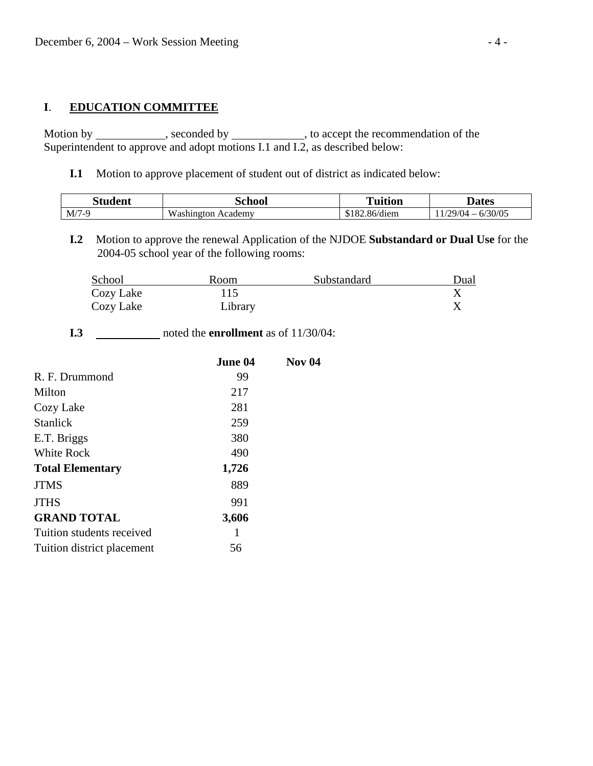# **I**. **EDUCATION COMMITTEE**

Motion by \_\_\_\_\_\_\_\_\_\_\_, seconded by \_\_\_\_\_\_\_\_\_\_\_, to accept the recommendation of the Superintendent to approve and adopt motions I.1 and I.2, as described below:

**I.1** Motion to approve placement of student out of district as indicated below:

| itudent | `chool                           | <b>Tuition</b> | Jates                                |
|---------|----------------------------------|----------------|--------------------------------------|
| $M/7-9$ | $\mathbf{v}$<br>Academy<br>ισf∩n | $86/d$ iem     | /30/05<br>29/14<br>$\mathsf{n}$<br>- |

 **I.2** Motion to approve the renewal Application of the NJDOE **Substandard or Dual Use** for the 2004-05 school year of the following rooms:

| School    | Room    | Substandard | Dual |
|-----------|---------|-------------|------|
| Cozy Lake |         |             |      |
| Cozy Lake | Library |             |      |

**I.3** \_\_\_\_\_\_\_\_\_\_\_\_ noted the **enrollment** as of 11/30/04:

|                            | June 04 | <b>Nov 04</b> |
|----------------------------|---------|---------------|
| R. F. Drummond             | 99      |               |
| Milton                     | 217     |               |
| Cozy Lake                  | 281     |               |
| <b>Stanlick</b>            | 259     |               |
| E.T. Briggs                | 380     |               |
| <b>White Rock</b>          | 490     |               |
| <b>Total Elementary</b>    | 1,726   |               |
| <b>JTMS</b>                | 889     |               |
| <b>JTHS</b>                | 991     |               |
| <b>GRAND TOTAL</b>         | 3,606   |               |
| Tuition students received  |         |               |
| Tuition district placement | 56      |               |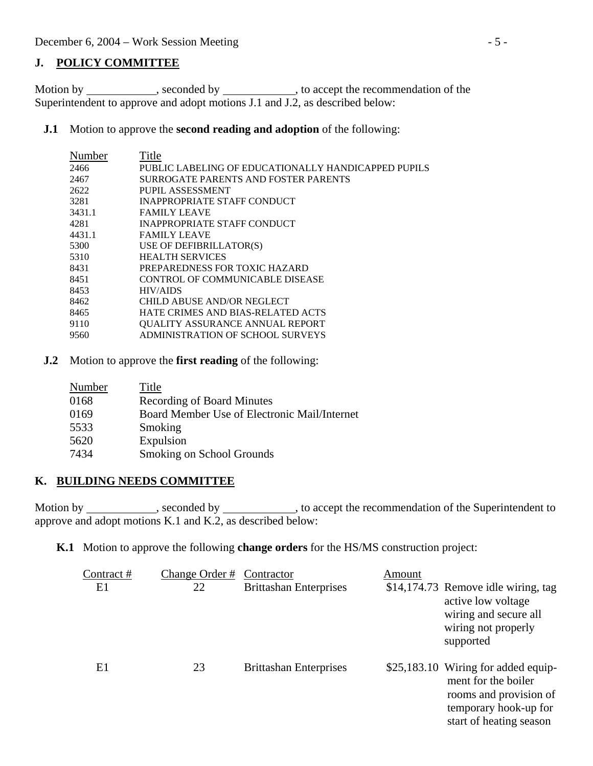### **J. POLICY COMMITTEE**

Motion by \_\_\_\_\_\_\_\_\_\_, seconded by \_\_\_\_\_\_\_\_\_\_, to accept the recommendation of the Superintendent to approve and adopt motions J.1 and J.2, as described below:

**J.1** Motion to approve the **second reading and adoption** of the following:

| Number | Title                                               |
|--------|-----------------------------------------------------|
| 2466   | PUBLIC LABELING OF EDUCATIONALLY HANDICAPPED PUPILS |
| 2467   | SURROGATE PARENTS AND FOSTER PARENTS                |
| 2622   | PUPIL ASSESSMENT                                    |
| 3281   | <b>INAPPROPRIATE STAFF CONDUCT</b>                  |
| 3431.1 | <b>FAMILY LEAVE</b>                                 |
| 4281   | INAPPROPRIATE STAFF CONDUCT                         |
| 4431.1 | <b>FAMILY LEAVE</b>                                 |
| 5300   | USE OF DEFIBRILLATOR(S)                             |
| 5310   | <b>HEALTH SERVICES</b>                              |
| 8431   | PREPAREDNESS FOR TOXIC HAZARD                       |
| 8451   | CONTROL OF COMMUNICABLE DISEASE                     |
| 8453   | <b>HIV/AIDS</b>                                     |
| 8462   | CHILD ABUSE AND/OR NEGLECT                          |
| 8465   | HATE CRIMES AND BIAS-RELATED ACTS                   |
| 9110   | QUALITY ASSURANCE ANNUAL REPORT                     |
| 9560   | ADMINISTRATION OF SCHOOL SURVEYS                    |

**J.2** Motion to approve the **first reading** of the following:

| Number | Title                                        |
|--------|----------------------------------------------|
| 0168   | <b>Recording of Board Minutes</b>            |
| 0169   | Board Member Use of Electronic Mail/Internet |
| 5533   | Smoking                                      |
| 5620   | Expulsion                                    |
| 7434   | Smoking on School Grounds                    |

### **K. BUILDING NEEDS COMMITTEE**

Motion by \_\_\_\_\_\_\_\_\_\_\_\_, seconded by \_\_\_\_\_\_\_\_\_\_\_\_, to accept the recommendation of the Superintendent to approve and adopt motions K.1 and K.2, as described below:

**K.1** Motion to approve the following **change orders** for the HS/MS construction project:

| Contract # | Change Order # | Contractor                    | Amount |                                                                                                                                          |
|------------|----------------|-------------------------------|--------|------------------------------------------------------------------------------------------------------------------------------------------|
| E1         | 22             | <b>Brittashan Enterprises</b> |        | \$14,174.73 Remove idle wiring, tag<br>active low voltage<br>wiring and secure all<br>wiring not properly<br>supported                   |
| E1         | 23             | <b>Brittashan Enterprises</b> |        | \$25,183.10 Wiring for added equip-<br>ment for the boiler<br>rooms and provision of<br>temporary hook-up for<br>start of heating season |